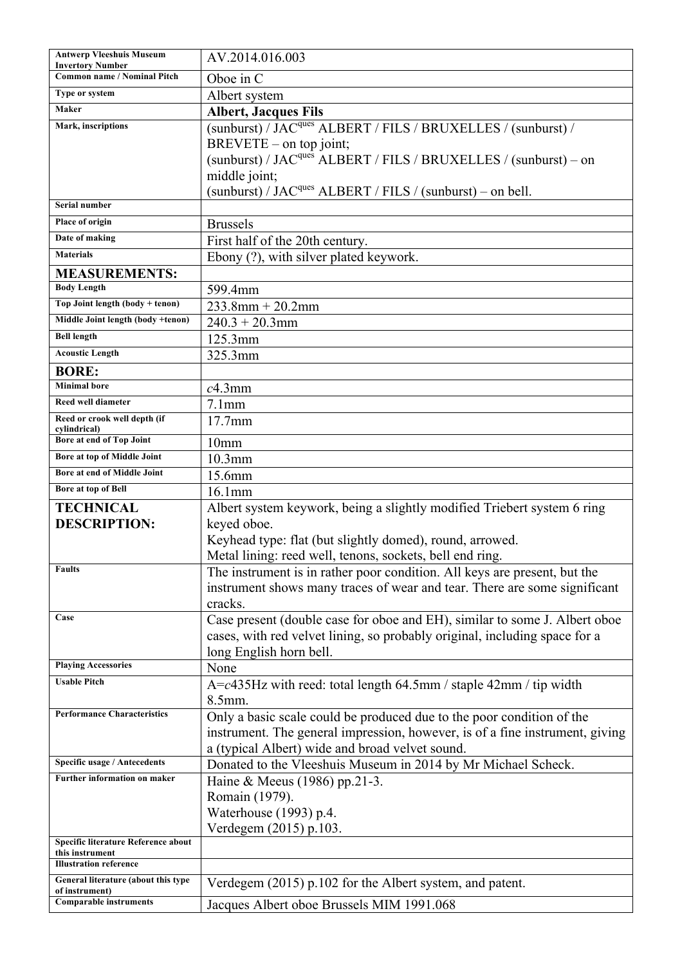| <b>Antwerp Vleeshuis Museum</b><br><b>Invertory Number</b> | AV.2014.016.003                                                                                                                                                                                                                                                                 |
|------------------------------------------------------------|---------------------------------------------------------------------------------------------------------------------------------------------------------------------------------------------------------------------------------------------------------------------------------|
| <b>Common name / Nominal Pitch</b>                         | Oboe in C                                                                                                                                                                                                                                                                       |
| Type or system                                             | Albert system                                                                                                                                                                                                                                                                   |
| Maker                                                      | <b>Albert, Jacques Fils</b>                                                                                                                                                                                                                                                     |
| Mark, inscriptions                                         | (sunburst) / JAC <sup>ques</sup> ALBERT / FILS / BRUXELLES / (sunburst) /<br>BREVETE – on top joint;<br>(sunburst) / JAC <sup>ques</sup> ALBERT / FILS / BRUXELLES / (sunburst) – on<br>middle joint;<br>(sunburst) / JAC <sup>ques</sup> ALBERT / FILS / (sunburst) – on bell. |
| Serial number                                              |                                                                                                                                                                                                                                                                                 |
| Place of origin                                            | <b>Brussels</b>                                                                                                                                                                                                                                                                 |
| Date of making                                             | First half of the 20th century.                                                                                                                                                                                                                                                 |
| <b>Materials</b>                                           | Ebony (?), with silver plated keywork.                                                                                                                                                                                                                                          |
| <b>MEASUREMENTS:</b>                                       |                                                                                                                                                                                                                                                                                 |
| <b>Body Length</b>                                         | 599.4mm                                                                                                                                                                                                                                                                         |
| Top Joint length (body + tenon)                            | $233.8$ mm + 20.2mm                                                                                                                                                                                                                                                             |
| Middle Joint length (body +tenon)                          | $240.3 + 20.3$ mm                                                                                                                                                                                                                                                               |
| <b>Bell length</b>                                         | 125.3mm                                                                                                                                                                                                                                                                         |
| <b>Acoustic Length</b>                                     | 325.3mm                                                                                                                                                                                                                                                                         |
| <b>BORE:</b>                                               |                                                                                                                                                                                                                                                                                 |
| <b>Minimal bore</b>                                        | $c4.3$ mm                                                                                                                                                                                                                                                                       |
| <b>Reed well diameter</b>                                  | $7.1$ mm                                                                                                                                                                                                                                                                        |
| Reed or crook well depth (if<br>cylindrical)               | 17.7mm                                                                                                                                                                                                                                                                          |
| Bore at end of Top Joint                                   | 10mm                                                                                                                                                                                                                                                                            |
| Bore at top of Middle Joint                                | $10.3$ mm                                                                                                                                                                                                                                                                       |
| Bore at end of Middle Joint                                | 15.6mm                                                                                                                                                                                                                                                                          |
| <b>Bore at top of Bell</b>                                 | 16.1mm                                                                                                                                                                                                                                                                          |
| <b>TECHNICAL</b>                                           | Albert system keywork, being a slightly modified Triebert system 6 ring                                                                                                                                                                                                         |
| <b>DESCRIPTION:</b>                                        | keyed oboe.                                                                                                                                                                                                                                                                     |
|                                                            | Keyhead type: flat (but slightly domed), round, arrowed.                                                                                                                                                                                                                        |
|                                                            | Metal lining: reed well, tenons, sockets, bell end ring.                                                                                                                                                                                                                        |
| <b>Faults</b>                                              | The instrument is in rather poor condition. All keys are present, but the<br>instrument shows many traces of wear and tear. There are some significant<br>cracks.                                                                                                               |
| Case                                                       | Case present (double case for oboe and EH), similar to some J. Albert oboe                                                                                                                                                                                                      |
|                                                            | cases, with red velvet lining, so probably original, including space for a                                                                                                                                                                                                      |
|                                                            | long English horn bell.                                                                                                                                                                                                                                                         |
| <b>Playing Accessories</b>                                 | None                                                                                                                                                                                                                                                                            |
| <b>Usable Pitch</b>                                        | $A = c435$ Hz with reed: total length 64.5mm / staple 42mm / tip width<br>$8.5$ mm.                                                                                                                                                                                             |
| <b>Performance Characteristics</b>                         | Only a basic scale could be produced due to the poor condition of the                                                                                                                                                                                                           |
|                                                            | instrument. The general impression, however, is of a fine instrument, giving                                                                                                                                                                                                    |
|                                                            | a (typical Albert) wide and broad velvet sound.                                                                                                                                                                                                                                 |
| Specific usage / Antecedents                               | Donated to the Vleeshuis Museum in 2014 by Mr Michael Scheck.                                                                                                                                                                                                                   |
| Further information on maker                               | Haine & Meeus (1986) pp.21-3.                                                                                                                                                                                                                                                   |
|                                                            | Romain (1979).                                                                                                                                                                                                                                                                  |
|                                                            | Waterhouse (1993) p.4.                                                                                                                                                                                                                                                          |
|                                                            | Verdegem (2015) p.103.                                                                                                                                                                                                                                                          |
| Specific literature Reference about<br>this instrument     |                                                                                                                                                                                                                                                                                 |
| <b>Illustration reference</b>                              |                                                                                                                                                                                                                                                                                 |
| General literature (about this type                        | Verdegem (2015) p.102 for the Albert system, and patent.                                                                                                                                                                                                                        |
| of instrument)<br><b>Comparable instruments</b>            | Jacques Albert oboe Brussels MIM 1991.068                                                                                                                                                                                                                                       |
|                                                            |                                                                                                                                                                                                                                                                                 |